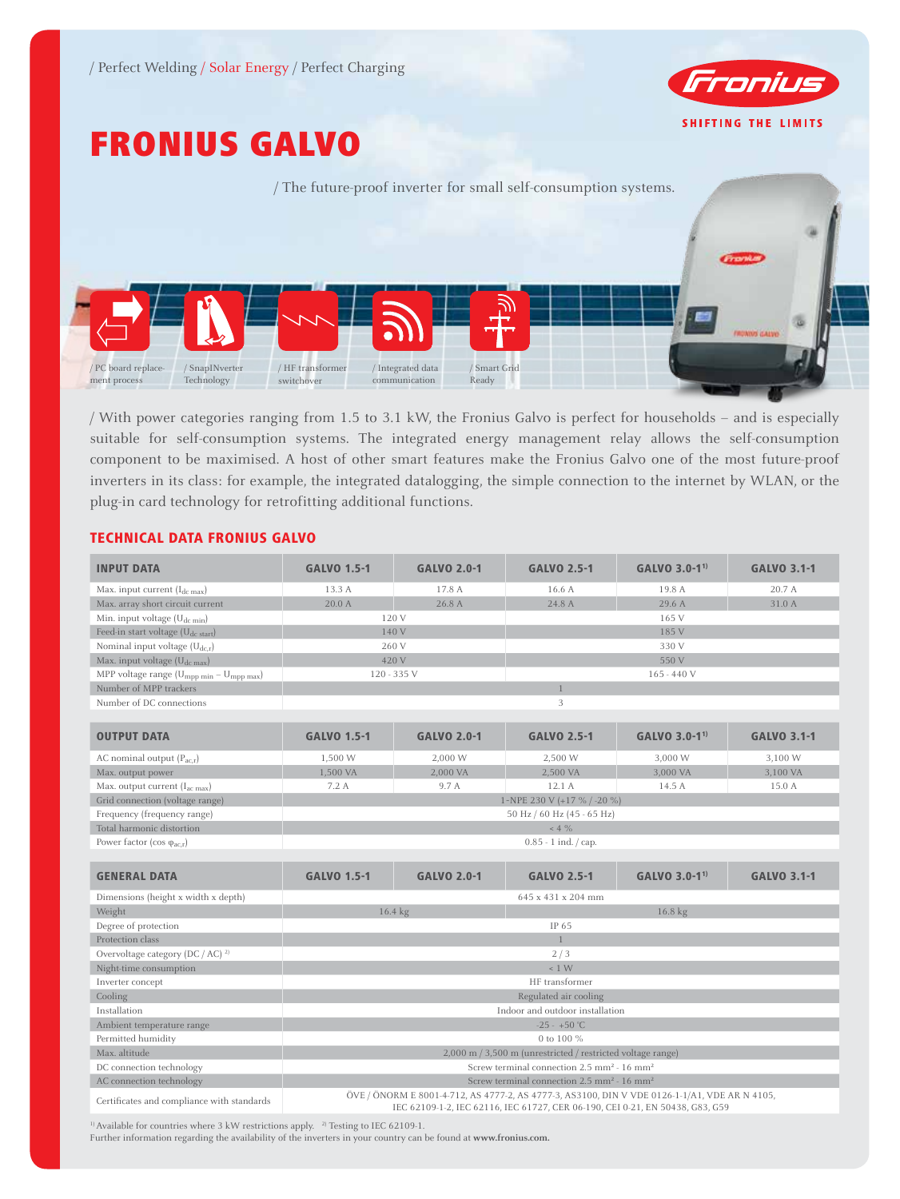

# FRONIUS GALVO



/ With power categories ranging from 1.5 to 3.1 kW, the Fronius Galvo is perfect for households – and is especially suitable for self-consumption systems. The integrated energy management relay allows the self-consumption component to be maximised. A host of other smart features make the Fronius Galvo one of the most future-proof inverters in its class: for example, the integrated datalogging, the simple connection to the internet by WLAN, or the plug-in card technology for retrofitting additional functions.

## TECHNICAL DATA FRONIUS GALVO

| <b>INPUT DATA</b>                                                | <b>GALVO 1.5-1</b>                                                                                                                                                             | <b>GALVO 2.0-1</b> | <b>GALVO 2.5-1</b> | GALVO 3.0-1 <sup>1)</sup> | <b>GALVO 3.1-1</b> |  |
|------------------------------------------------------------------|--------------------------------------------------------------------------------------------------------------------------------------------------------------------------------|--------------------|--------------------|---------------------------|--------------------|--|
| Max. input current $(I_{dc\,max})$                               | 13.3 A                                                                                                                                                                         | 17.8 A             | 16.6 A             | 19.8 A                    | 20.7 A             |  |
| Max. array short circuit current                                 | 20.0 A                                                                                                                                                                         | 26.8 A             | 24.8 A             | 29.6 A                    | 31.0 A             |  |
| Min. input voltage (U <sub>dc min</sub> )                        | 120 V                                                                                                                                                                          |                    | 165 V              |                           |                    |  |
| Feed-in start voltage (U <sub>dc start</sub> )                   | 140 V                                                                                                                                                                          |                    | 185 V              |                           |                    |  |
| Nominal input voltage $(U_{dc,r})$                               | 260 V                                                                                                                                                                          |                    | 330 V              |                           |                    |  |
| Max. input voltage (U <sub>dc max</sub> )                        | 420 V                                                                                                                                                                          |                    | 550 V              |                           |                    |  |
| MPP voltage range (U <sub>mpp min</sub> - U <sub>mpp max</sub> ) | 120 - 335 V                                                                                                                                                                    |                    | $165 - 440V$       |                           |                    |  |
| Number of MPP trackers                                           | $\overline{1}$                                                                                                                                                                 |                    |                    |                           |                    |  |
| Number of DC connections                                         | 3                                                                                                                                                                              |                    |                    |                           |                    |  |
|                                                                  |                                                                                                                                                                                |                    |                    |                           |                    |  |
| <b>OUTPUT DATA</b>                                               | <b>GALVO 1.5-1</b>                                                                                                                                                             | <b>GALVO 2.0-1</b> | <b>GALVO 2.5-1</b> | GALVO 3.0-1 <sup>1)</sup> | <b>GALVO 3.1-1</b> |  |
| AC nominal output $(P_{acx})$                                    | 1,500 W                                                                                                                                                                        | 2,000 W            | 2,500 W            | 3,000 W                   | 3,100 W            |  |
| Max. output power                                                | 1,500 VA                                                                                                                                                                       | 2,000 VA           | 2,500 VA           | 3,000 VA                  | 3,100 VA           |  |
| Max. output current (I <sub>ac max</sub> )                       | 7.2 A                                                                                                                                                                          | 9.7 A              | 12.1 A             | 14.5 A                    | 15.0 A             |  |
| Grid connection (voltage range)                                  | 1~NPE 230 V (+17 % / -20 %)                                                                                                                                                    |                    |                    |                           |                    |  |
| Frequency (frequency range)                                      | 50 Hz / 60 Hz (45 - 65 Hz)                                                                                                                                                     |                    |                    |                           |                    |  |
| Total harmonic distortion                                        | $~<$ 4 $\%$                                                                                                                                                                    |                    |                    |                           |                    |  |
| Power factor (cos $\varphi_{ac,r}$ )                             | $0.85 - 1$ ind. $\frac{1}{2}$ cap.                                                                                                                                             |                    |                    |                           |                    |  |
|                                                                  |                                                                                                                                                                                |                    |                    |                           |                    |  |
| <b>GENERAL DATA</b>                                              | <b>GALVO 1.5-1</b>                                                                                                                                                             | <b>GALVO 2.0-1</b> | <b>GALVO 2.5-1</b> | GALVO 3.0-1 <sup>1)</sup> | <b>GALVO 3.1-1</b> |  |
| Dimensions (height x width x depth)                              | 645 x 431 x 204 mm                                                                                                                                                             |                    |                    |                           |                    |  |
| Weight                                                           | 16.4 kg                                                                                                                                                                        |                    | 16.8 kg            |                           |                    |  |
| Degree of protection                                             | IP 65                                                                                                                                                                          |                    |                    |                           |                    |  |
| Protection class                                                 | $\mathbf{1}$                                                                                                                                                                   |                    |                    |                           |                    |  |
| Overvoltage category (DC / AC) <sup>2)</sup>                     | 2/3                                                                                                                                                                            |                    |                    |                           |                    |  |
| Night-time consumption                                           | ~1 W                                                                                                                                                                           |                    |                    |                           |                    |  |
| Inverter concept                                                 | HF transformer                                                                                                                                                                 |                    |                    |                           |                    |  |
| Cooling                                                          | Regulated air cooling                                                                                                                                                          |                    |                    |                           |                    |  |
| Installation                                                     | Indoor and outdoor installation                                                                                                                                                |                    |                    |                           |                    |  |
| Ambient temperature range                                        | $-25 - +50$ °C                                                                                                                                                                 |                    |                    |                           |                    |  |
| Permitted humidity                                               | 0 to 100 %                                                                                                                                                                     |                    |                    |                           |                    |  |
| Max. altitude                                                    | 2,000 m / 3,500 m (unrestricted / restricted voltage range)                                                                                                                    |                    |                    |                           |                    |  |
| DC connection technology                                         | Screw terminal connection $2.5 \text{ mm}^2 \cdot 16 \text{ mm}^2$                                                                                                             |                    |                    |                           |                    |  |
| AC connection technology                                         | Screw terminal connection $2.5 \text{ mm}^2 - 16 \text{ mm}^2$                                                                                                                 |                    |                    |                           |                    |  |
| Certificates and compliance with standards                       | ÖVE / ÖNORM E 8001-4-712, AS 4777-2, AS 4777-3, AS3100, DIN V VDE 0126-1-1/A1, VDE AR N 4105,<br>IEC 62109-1-2, IEC 62116, IEC 61727, CER 06-190, CEI 0-21, EN 50438, G83, G59 |                    |                    |                           |                    |  |

 $^{\rm 1)}$  Available for countries where 3 kW restrictions apply.  $^{\rm 2)}$  Testing to IEC 62109-1.

Further information regarding the availability of the inverters in your country can be found at **www.fronius.com.**